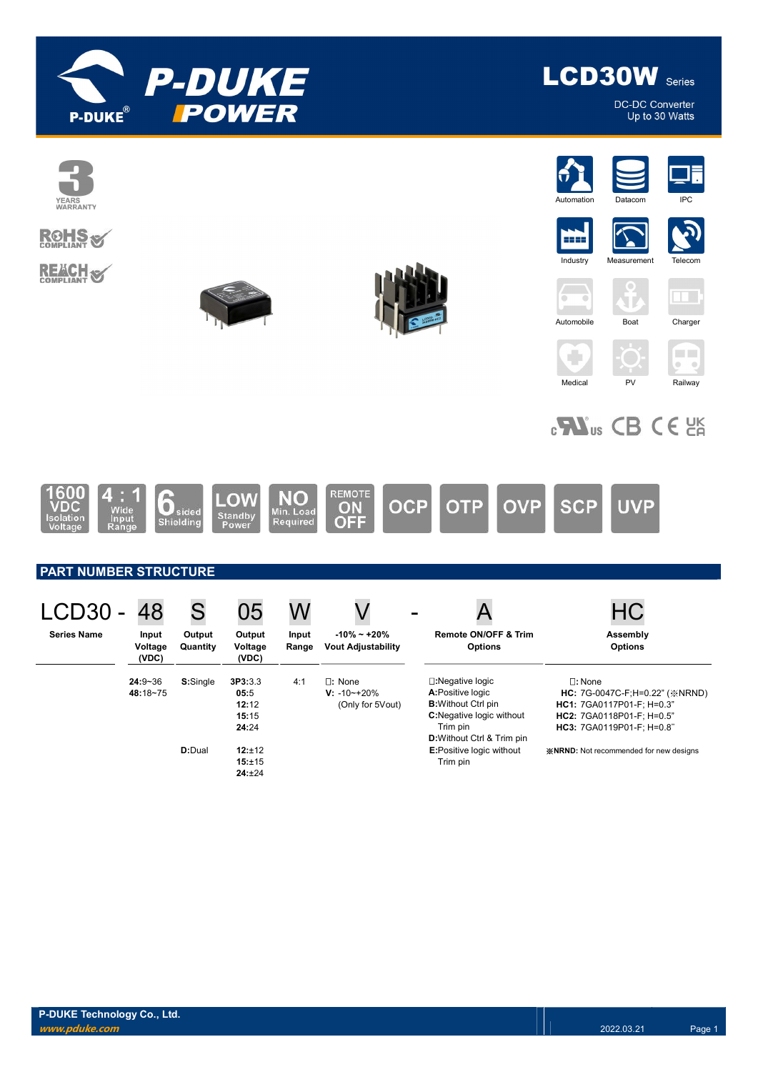



**DC-DC Converter** Up to 30 Watts

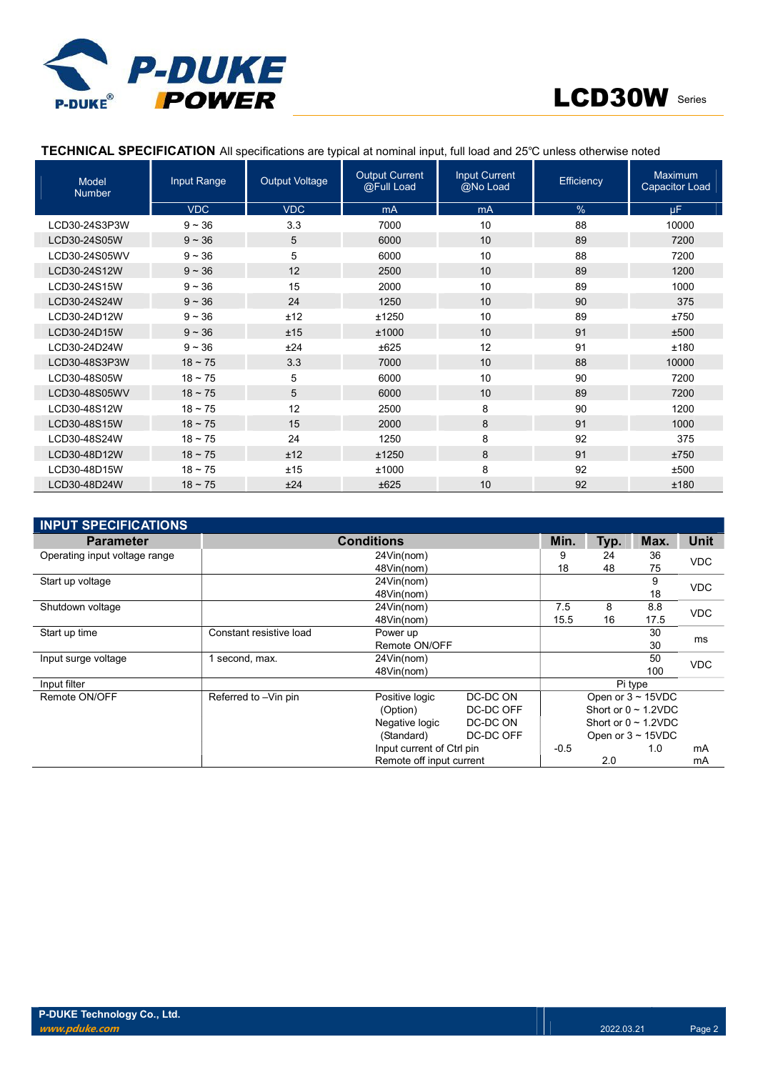



## TECHNICAL SPECIFICATION All specifications are typical at nominal input, full load and 25℃ unless otherwise noted

| <b>Model</b><br><b>Number</b> | Input Range  | <b>Output Voltage</b> | <b>Output Current</b><br>@Full Load | <b>Input Current</b><br>@No Load | Efficiency | <b>Maximum</b><br><b>Capacitor Load</b> |
|-------------------------------|--------------|-----------------------|-------------------------------------|----------------------------------|------------|-----------------------------------------|
|                               | <b>VDC</b>   | <b>VDC</b>            | mA                                  | mA                               | %          | <b>uF</b>                               |
| LCD30-24S3P3W                 | $9 - 36$     | 3.3                   | 7000                                | 10                               | 88         | 10000                                   |
| LCD30-24S05W                  | $9 - 36$     | 5                     | 6000                                | 10                               | 89         | 7200                                    |
| LCD30-24S05WV                 | $9 - 36$     | 5                     | 6000                                | 10                               | 88         | 7200                                    |
| LCD30-24S12W                  | $9 - 36$     | 12                    | 2500                                | 10                               | 89         | 1200                                    |
| LCD30-24S15W                  | $9 - 36$     | 15                    | 2000                                | 10                               | 89         | 1000                                    |
| LCD30-24S24W                  | $9 - 36$     | 24                    | 1250                                | 10                               | 90         | 375                                     |
| LCD30-24D12W                  | $9 - 36$     | ±12                   | ±1250                               | 10                               | 89         | ±750                                    |
| LCD30-24D15W                  | $9 - 36$     | ±15                   | ±1000                               | 10                               | 91         | ±500                                    |
| LCD30-24D24W                  | $9 - 36$     | ±24                   | ±625                                | 12                               | 91         | ±180                                    |
| LCD30-48S3P3W                 | $18 \sim 75$ | 3.3                   | 7000                                | 10                               | 88         | 10000                                   |
| LCD30-48S05W                  | $18 - 75$    | 5                     | 6000                                | 10                               | 90         | 7200                                    |
| LCD30-48S05WV                 | $18 - 75$    | 5                     | 6000                                | 10                               | 89         | 7200                                    |
| LCD30-48S12W                  | $18 - 75$    | 12                    | 2500                                | 8                                | 90         | 1200                                    |
| LCD30-48S15W                  | $18 \sim 75$ | 15                    | 2000                                | 8                                | 91         | 1000                                    |
| LCD30-48S24W                  | $18 - 75$    | 24                    | 1250                                | 8                                | 92         | 375                                     |
| LCD30-48D12W                  | $18 \sim 75$ | ±12                   | ±1250                               | 8                                | 91         | ±750                                    |
| LCD30-48D15W                  | $18 - 75$    | ±15                   | ±1000                               | 8                                | 92         | ±500                                    |
| LCD30-48D24W                  | $18 \sim 75$ | ±24                   | ±625                                | 10                               | 92         | ±180                                    |

| <b>INPUT SPECIFICATIONS</b>   |                           |                          |           |        |             |                           |            |  |
|-------------------------------|---------------------------|--------------------------|-----------|--------|-------------|---------------------------|------------|--|
| <b>Parameter</b>              |                           | Min.                     | Typ.      | Max.   | <b>Unit</b> |                           |            |  |
| Operating input voltage range |                           | 9                        | 24        | 36     | <b>VDC</b>  |                           |            |  |
|                               |                           | 48Vin(nom)               |           | 18     | 48          | 75                        |            |  |
| Start up voltage              |                           | 24Vin(nom)               |           |        |             | 9                         | <b>VDC</b> |  |
|                               |                           |                          |           | 18     |             |                           |            |  |
| Shutdown voltage              |                           | 24Vin(nom)               |           | 7.5    | 8           | 8.8                       | <b>VDC</b> |  |
|                               |                           | 48Vin(nom)               |           | 15.5   | 16          | 17.5                      |            |  |
| Start up time                 | Constant resistive load   | Power up                 |           |        |             | 30                        | ms         |  |
|                               | Remote ON/OFF             |                          |           |        |             | 30                        |            |  |
| Input surge voltage           | 1 second, max.            | 24Vin(nom)               |           |        |             | 50                        | <b>VDC</b> |  |
|                               |                           | 48Vin(nom)               |           |        |             | 100                       |            |  |
| Input filter                  |                           |                          |           |        |             | Pi type                   |            |  |
| Remote ON/OFF                 | Referred to -Vin pin      | Positive logic           | DC-DC ON  |        |             | Open or $3 \sim 15$ VDC   |            |  |
|                               |                           | (Option)                 | DC-DC OFF |        |             | Short or $0 \sim 1.2$ VDC |            |  |
|                               |                           | Negative logic           | DC-DC ON  |        |             | Short or $0 \sim 1.2$ VDC |            |  |
|                               |                           | (Standard)               | DC-DC OFF |        |             | Open or $3 \sim 15$ VDC   |            |  |
|                               | Input current of Ctrl pin |                          |           | $-0.5$ |             | 1.0                       | mA         |  |
|                               |                           | Remote off input current |           |        | 2.0         |                           |            |  |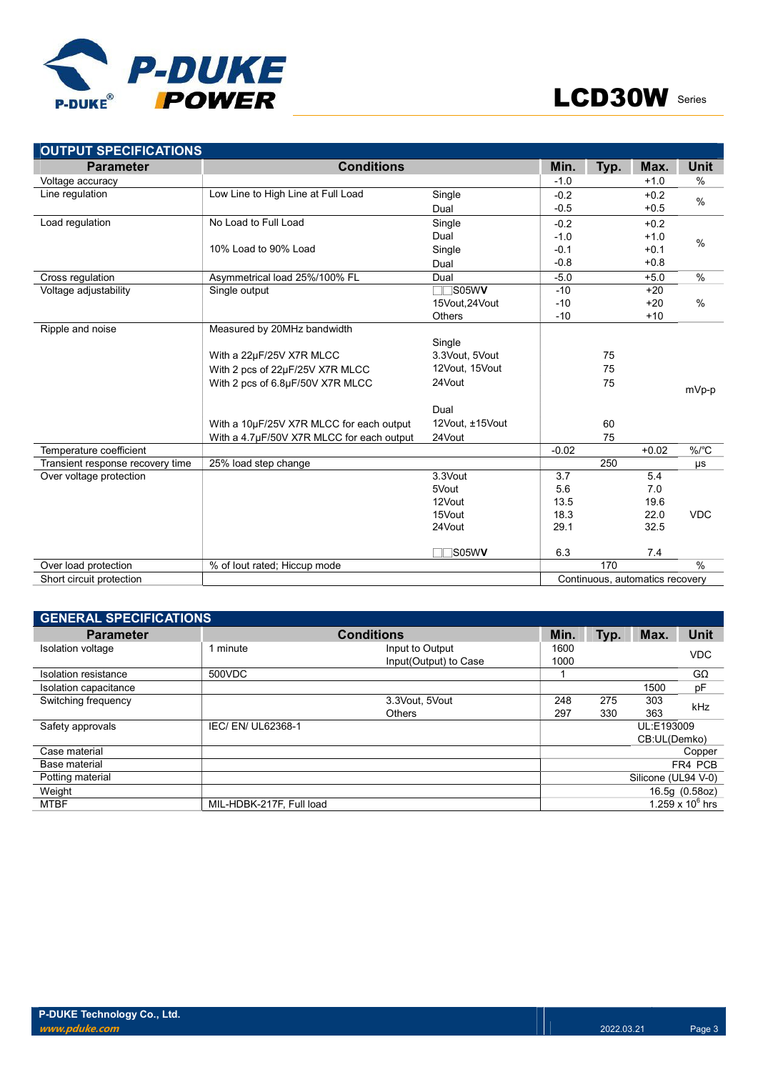

| <b>OUTPUT SPECIFICATIONS</b>     |                                           |                 |         |      |                                 |            |
|----------------------------------|-------------------------------------------|-----------------|---------|------|---------------------------------|------------|
| <b>Parameter</b>                 | <b>Conditions</b>                         |                 | Min.    | Typ. | Max.                            | Unit       |
| Voltage accuracy                 |                                           |                 | $-1.0$  |      | $+1.0$                          | %          |
| Line regulation                  | Low Line to High Line at Full Load        | Single          | $-0.2$  |      | $+0.2$                          | $\%$       |
|                                  |                                           | Dual            | $-0.5$  |      | $+0.5$                          |            |
| Load regulation                  | No Load to Full Load                      | Single          | $-0.2$  |      | $+0.2$                          |            |
|                                  |                                           | Dual            | $-1.0$  |      | $+1.0$                          |            |
|                                  | 10% Load to 90% Load                      | Single          | $-0.1$  |      | $+0.1$                          | $\%$       |
|                                  |                                           | Dual            | $-0.8$  |      | $+0.8$                          |            |
| Cross regulation                 | Asymmetrical load 25%/100% FL             | Dual            | $-5.0$  |      | $+5.0$                          | $\%$       |
| Voltage adjustability            | Single output                             | $\Box$ S05WV    | $-10$   |      | $+20$                           |            |
|                                  |                                           | 15Vout, 24Vout  | $-10$   |      | $+20$                           | $\%$       |
|                                  |                                           | <b>Others</b>   | $-10$   |      | $+10$                           |            |
| Ripple and noise                 | Measured by 20MHz bandwidth               |                 |         |      |                                 |            |
|                                  |                                           | Single          |         |      |                                 |            |
|                                  | With a 22µF/25V X7R MLCC                  | 3.3Vout, 5Vout  |         | 75   |                                 |            |
|                                  | With 2 pcs of 22µF/25V X7R MLCC           | 12Vout, 15Vout  |         | 75   |                                 |            |
|                                  | With 2 pcs of 6.8µF/50V X7R MLCC          | 24Vout          |         | 75   |                                 | mVp-p      |
|                                  |                                           |                 |         |      |                                 |            |
|                                  |                                           | Dual            |         |      |                                 |            |
|                                  | With a 10µF/25V X7R MLCC for each output  | 12Vout, ±15Vout |         | 60   |                                 |            |
|                                  | With a 4.7µF/50V X7R MLCC for each output | 24Vout          |         | 75   |                                 |            |
| Temperature coefficient          |                                           |                 | $-0.02$ |      | $+0.02$                         | %/°C       |
| Transient response recovery time | 25% load step change                      |                 |         | 250  |                                 | μs         |
| Over voltage protection          |                                           | 3.3Vout         | 3.7     |      | 5.4                             |            |
|                                  |                                           | 5Vout           | 5.6     |      | 7.0                             |            |
|                                  |                                           | 12Vout          | 13.5    |      | 19.6                            |            |
|                                  |                                           | 15Vout          | 18.3    |      | 22.0                            | <b>VDC</b> |
|                                  |                                           | 24Vout          | 29.1    |      | 32.5                            |            |
|                                  |                                           | <b>S05WV</b>    | 6.3     |      | 7.4                             |            |
| Over load protection             | % of lout rated; Hiccup mode              |                 |         | 170  |                                 | $\%$       |
| Short circuit protection         |                                           |                 |         |      | Continuous, automatics recovery |            |
|                                  |                                           |                 |         |      |                                 |            |

| <b>GENERAL SPECIFICATIONS</b> |                          |                                          |              |      |                     |                    |  |  |
|-------------------------------|--------------------------|------------------------------------------|--------------|------|---------------------|--------------------|--|--|
| <b>Parameter</b>              |                          | Min.                                     | Typ.         | Max. | <b>Unit</b>         |                    |  |  |
| Isolation voltage             | 1 minute                 | Input to Output<br>Input(Output) to Case | 1600<br>1000 |      |                     | <b>VDC</b>         |  |  |
| Isolation resistance          | 500VDC                   |                                          |              |      |                     | $G\Omega$          |  |  |
| Isolation capacitance         |                          |                                          |              |      | 1500                | pF                 |  |  |
| Switching frequency           |                          | 3.3Vout, 5Vout                           | 248          | 275  | 303                 | kHz                |  |  |
|                               |                          | <b>Others</b>                            | 297          | 330  | 363                 |                    |  |  |
| Safety approvals              | IEC/ EN/ UL62368-1       |                                          |              |      | UL:E193009          |                    |  |  |
|                               |                          |                                          |              |      | CB:UL(Demko)        |                    |  |  |
| Case material                 |                          |                                          |              |      |                     | Copper             |  |  |
| Base material                 |                          |                                          |              |      |                     | FR4 PCB            |  |  |
| Potting material              |                          |                                          |              |      | Silicone (UL94 V-0) |                    |  |  |
| Weight                        |                          |                                          |              |      |                     | 16.5g (0.58oz)     |  |  |
| <b>MTBF</b>                   | MIL-HDBK-217F, Full load |                                          |              |      |                     | 1.259 x $10^6$ hrs |  |  |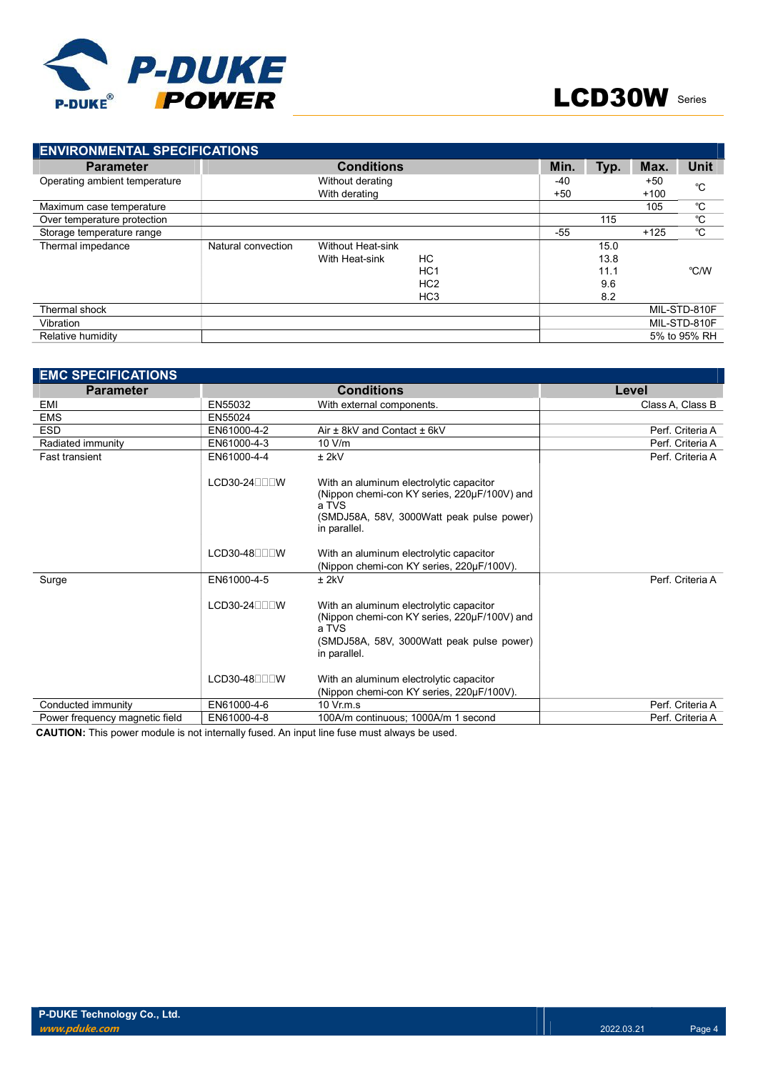

| <b>ENVIRONMENTAL SPECIFICATIONS</b> |                    |                   |                 |       |        |        |              |  |
|-------------------------------------|--------------------|-------------------|-----------------|-------|--------|--------|--------------|--|
| <b>Parameter</b>                    |                    | <b>Conditions</b> |                 | Min.  | Typ.   | Max.   | Unit         |  |
| Operating ambient temperature       |                    | Without derating  |                 | -40   |        | $+50$  | °C           |  |
|                                     |                    | With derating     | $+50$           |       | $+100$ |        |              |  |
| Maximum case temperature            |                    |                   |                 |       |        | 105    | °C           |  |
| Over temperature protection         |                    |                   |                 |       | 115    |        | °C           |  |
| Storage temperature range           |                    |                   |                 | $-55$ |        | $+125$ | °C           |  |
| Thermal impedance                   | Natural convection | Without Heat-sink |                 |       | 15.0   |        |              |  |
|                                     |                    | With Heat-sink    | НC              |       | 13.8   |        |              |  |
|                                     |                    |                   | HC <sub>1</sub> |       | 11.1   |        | °C/W         |  |
|                                     |                    |                   | HC <sub>2</sub> |       | 9.6    |        |              |  |
|                                     |                    |                   | HC <sub>3</sub> |       | 8.2    |        |              |  |
| Thermal shock                       |                    |                   |                 |       |        |        | MIL-STD-810F |  |
| Vibration                           |                    |                   |                 |       |        |        | MIL-STD-810F |  |
| Relative humidity                   |                    |                   |                 |       |        |        | 5% to 95% RH |  |

| <b>EMC SPECIFICATIONS</b>      |                               |                                                                                                                                                               |                  |
|--------------------------------|-------------------------------|---------------------------------------------------------------------------------------------------------------------------------------------------------------|------------------|
| <b>Parameter</b>               |                               | <b>Conditions</b>                                                                                                                                             | Level            |
| EMI                            | EN55032                       | With external components.                                                                                                                                     | Class A, Class B |
| <b>EMS</b>                     | EN55024                       |                                                                                                                                                               |                  |
| <b>ESD</b>                     | EN61000-4-2                   | Air $\pm$ 8kV and Contact $\pm$ 6kV                                                                                                                           | Perf. Criteria A |
| Radiated immunity              | EN61000-4-3                   | 10 V/m                                                                                                                                                        | Perf. Criteria A |
| <b>Fast transient</b>          | EN61000-4-4                   | $±$ 2kV                                                                                                                                                       | Perf. Criteria A |
|                                | $LCD30-24$ $\neg \Box \Box W$ | With an aluminum electrolytic capacitor<br>(Nippon chemi-con KY series, 220µF/100V) and<br>a TVS<br>(SMDJ58A, 58V, 3000Watt peak pulse power)<br>in parallel. |                  |
|                                | $LCD30-48$ $\neg \Box \Box W$ | With an aluminum electrolytic capacitor<br>(Nippon chemi-con KY series, 220µF/100V).                                                                          |                  |
| Surge                          | EN61000-4-5                   | $±$ 2kV                                                                                                                                                       | Perf. Criteria A |
|                                | $LCD30-24$ $\neg \Box \Box W$ | With an aluminum electrolytic capacitor<br>(Nippon chemi-con KY series, 220µF/100V) and<br>a TVS<br>(SMDJ58A, 58V, 3000Watt peak pulse power)<br>in parallel. |                  |
|                                | $LCD30-48$                    | With an aluminum electrolytic capacitor<br>(Nippon chemi-con KY series, 220µF/100V).                                                                          |                  |
| Conducted immunity             | EN61000-4-6                   | $10 \,$ Vr.m.s                                                                                                                                                | Perf. Criteria A |
| Power frequency magnetic field | EN61000-4-8                   | 100A/m continuous; 1000A/m 1 second                                                                                                                           | Perf. Criteria A |

CAUTION: This power module is not internally fused. An input line fuse must always be used.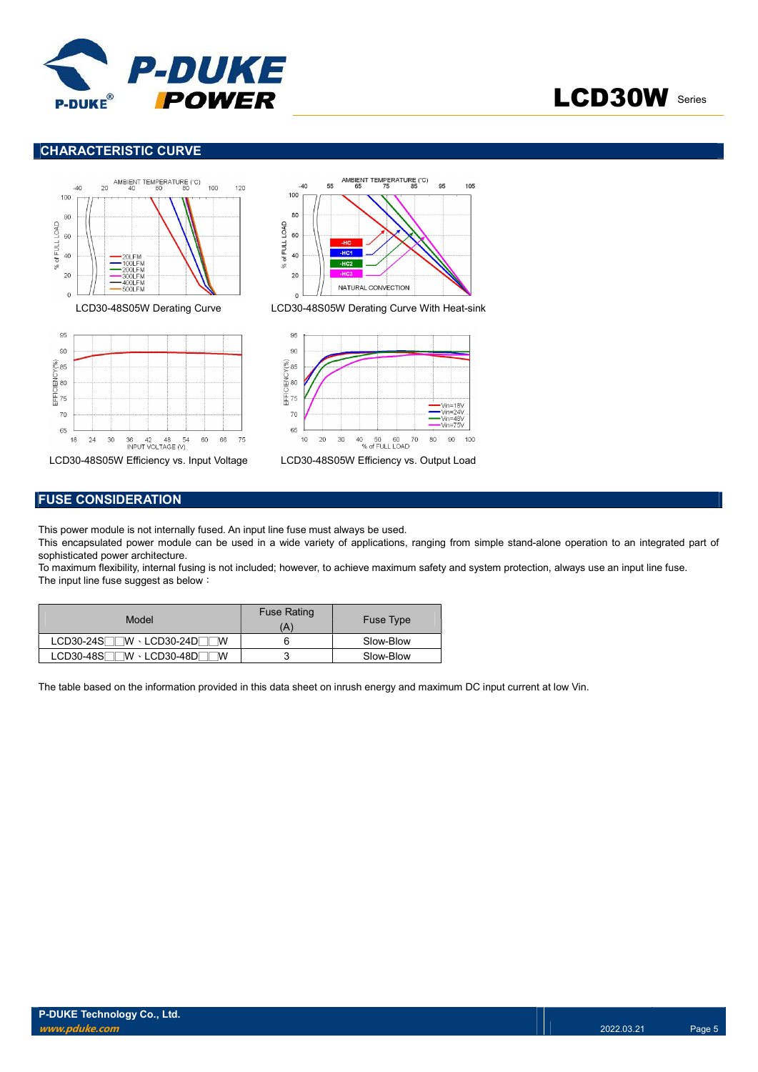

# LCD30W Series

## CHARACTERISTIC CURVE







LCD30-48S05W Derating Curve LCD30-48S05W Derating Curve With Heat-sink





# FUSE CONSIDERATION

This power module is not internally fused. An input line fuse must always be used.

This encapsulated power module can be used in a wide variety of applications, ranging from simple stand-alone operation to an integrated part of sophisticated power architecture.

To maximum flexibility, internal fusing is not included; however, to achieve maximum safety and system protection, always use an input line fuse. The input line fuse suggest as below:

| Model                                 | <b>Fuse Rating</b><br>Ά | <b>Fuse Type</b> |
|---------------------------------------|-------------------------|------------------|
| $LCD30-24S$ $W \cdot LCD30-24D$<br>٦w |                         | Slow-Blow        |
| ∏™ · LCD30-48D୮<br>$LCD30-48S$<br>ΙW  |                         | Slow-Blow        |

The table based on the information provided in this data sheet on inrush energy and maximum DC input current at low Vin.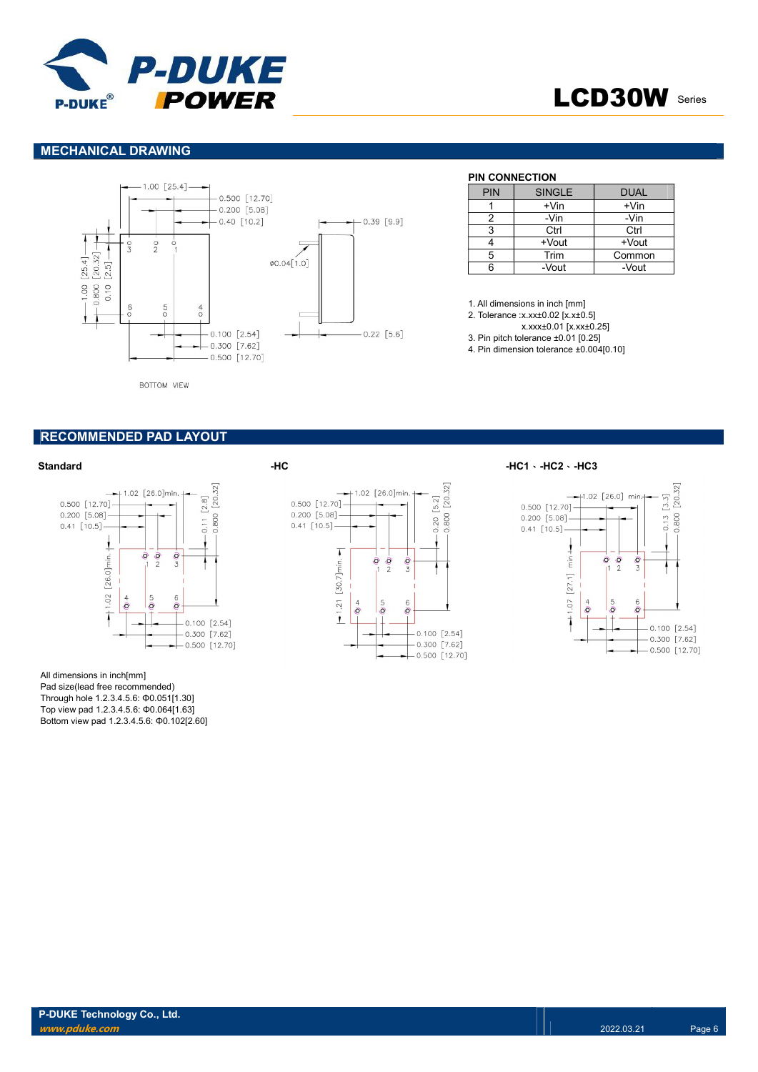

# LCD30W Series

### MECHANICAL DRAWING



### BOTTOM VIEW

# PIN CONNECTION

| <b>PIN</b> | <b>SINGLE</b> | <b>DUAL</b> |
|------------|---------------|-------------|
|            | +Vin          | $+V$ in     |
|            | -Vin          | -Vin        |
| ঽ          | Ctrl          | Ctrl        |
|            | +Vout         | +Vout       |
| 5          | Trim          | Common      |
| ีค         | -Vout         | -Vout       |

1. All dimensions in inch [mm]

- 2. Tolerance :x.xx±0.02 [x.x±0.5]
- x.xxx±0.01 [x.xx±0.25]
- 3. Pin pitch tolerance ±0.01 [0.25]
- 4. Pin dimension tolerance ±0.004[0.10]

### RECOMMENDED PAD LAYOUT



All dimensions in inch[mm] Pad size(lead free recommended) Through hole 1.2.3.4.5.6: Φ0.051[1.30] Top view pad 1.2.3.4.5.6: Φ0.064[1.63] Bottom view pad 1.2.3.4.5.6: Φ0.102[2.60]



Standard -HC -HC1、-HC2、-HC3

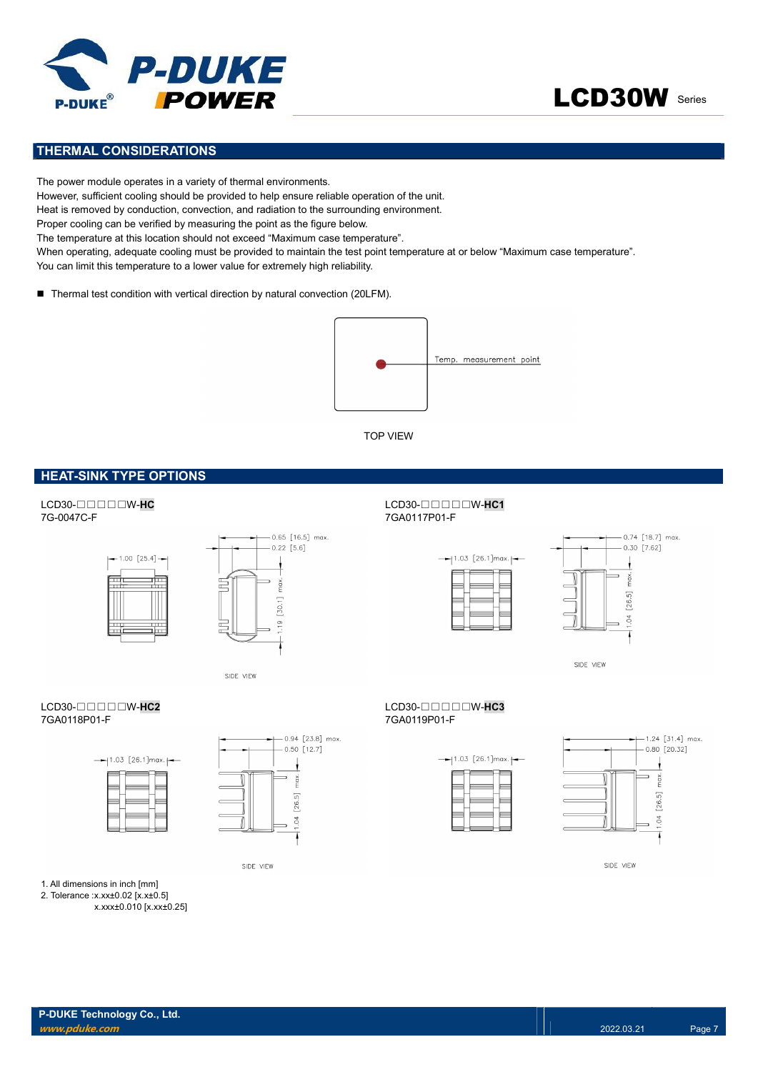



## THERMAL CONSIDERATIONS

The power module operates in a variety of thermal environments. However, sufficient cooling should be provided to help ensure reliable operation of the unit. Heat is removed by conduction, convection, and radiation to the surrounding environment. Proper cooling can be verified by measuring the point as the figure below. The temperature at this location should not exceed "Maximum case temperature". When operating, adequate cooling must be provided to maintain the test point temperature at or below "Maximum case temperature". You can limit this temperature to a lower value for extremely high reliability.

■ Thermal test condition with vertical direction by natural convection (20LFM).



TOP VIEW

### **HEAT-SINK TYPE OPTIONS**





SIDE VIEW





SIDE VIEW





SIDE VIEW

### $LCD30$ -□□□□W-HC2  $TGA0118P01$ -F<br> $TGA0118P01$ -F 7GA0118P01-F 7GA0119P01-F





SIDE VIEW

1. All dimensions in inch [mm]

2. Tolerance :x.xx±0.02 [x.x±0.5]

x.xxx±0.010 [x.xx±0.25]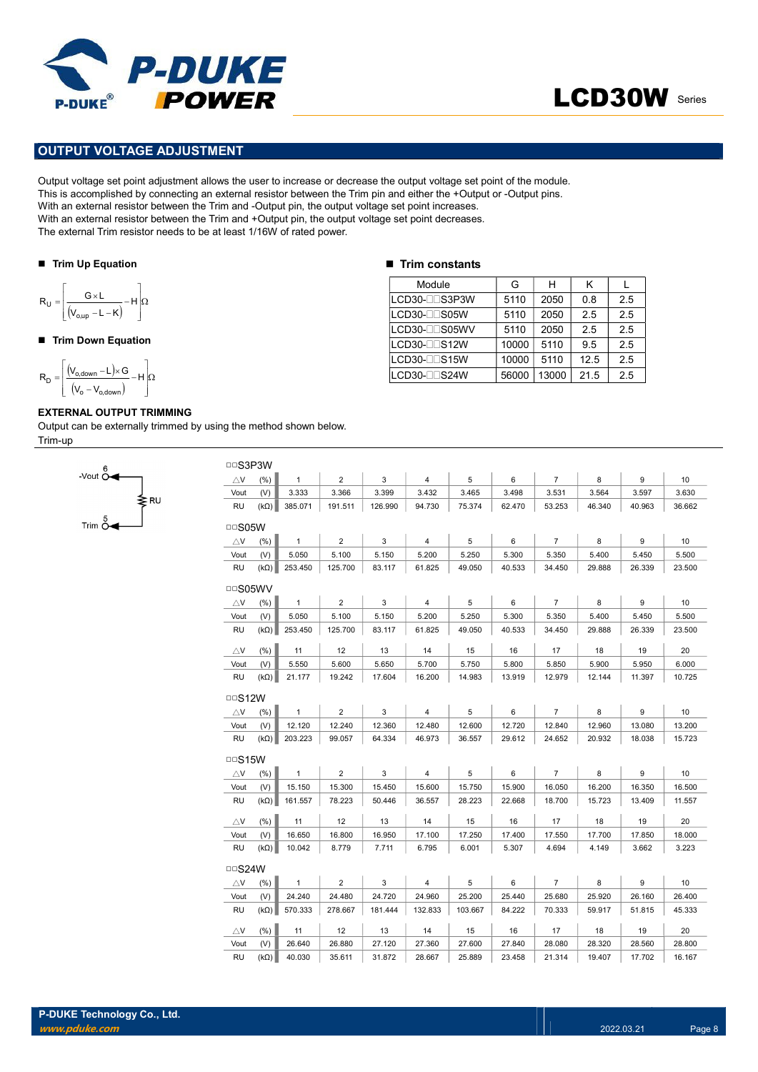

# LCD30W Series

## OUTPUT VOLTAGE ADJUSTMENT

Output voltage set point adjustment allows the user to increase or decrease the output voltage set point of the module. This is accomplished by connecting an external resistor between the Trim pin and either the +Output or -Output pins. With an external resistor between the Trim and -Output pin, the output voltage set point increases. With an external resistor between the Trim and +Output pin, the output voltage set point decreases. The external Trim resistor needs to be at least 1/16W of rated power. **DUITY VOLTAGE ADJUSTMENT**<br>
VIET VOLTAGE ADJUSTMENT<br>
VOLTAGE ADJUSTMENT<br>
VOLTAGE ADJUSTMENT<br>
VOLTAGE ADJUSTMENT<br>
IN CORRECTION CONTROL TO A CONTROL TO A CONTROL TO A CONTROL TO A CONTROL TO A CONTROL TO A CONTROL TO A CON POWER<br>
PUT VOLTAGE ADJUSTMENT<br>
PUT VOLTAGE ADJUSTMENT<br>
accomplished by connecting an external resistor between the Tim pin and elther the clup of other and<br>
nexternal resistor between the Tim and -Output pin, the output v **POWER**<br>
UIT VOLTAGE ADJUSTMENT<br>
voltage set point adjustment allows the user to increase or decrease the output voltage set point of the nonceptional resistor between the Trim and -Output pin, the output voltage set poin

### ■ Trim Up Equation

$$
R_{U} = \left\lfloor \frac{G \times L}{(V_{o,up} - L - K)} - H \right\rfloor \Omega
$$

### ■ Trim Down Equation

 H V V V L G R o o,down o,down D

-Vout  $\overset{\circ}{\mathsf{O}}$ 

Trim  $\stackrel{5}{\sim}$ 

### EXTERNAL OUTPUT TRIMMING

≱R∪

Output can be externally trimmed by using the method shown below. Trim-up

### $\blacksquare$  Trim constants

| Module         | G     | н     | κ    |     |
|----------------|-------|-------|------|-----|
| ILCD30-⊟⊟S3P3W | 5110  | 2050  | 0.8  | 2.5 |
| lLCD30-⊟⊟S05W  | 5110  | 2050  | 2.5  | 2.5 |
| LCD30-ODS05WV  | 5110  | 2050  | 2.5  | 2.5 |
| LCD30-OOS12W   | 10000 | 5110  | 9.5  | 2.5 |
| LCD30-OOS15W   | 10000 | 5110  | 12.5 | 2.5 |
| LCD30-DDS24W   | 56000 | 13000 | 21.5 | 2.5 |

| □□S3P3W            |             |              |                |         |                |         |        |                |        |        |        |
|--------------------|-------------|--------------|----------------|---------|----------------|---------|--------|----------------|--------|--------|--------|
| $\triangle$ V      | (% )        | $\mathbf{1}$ | $\overline{2}$ | 3       | $\overline{4}$ | 5       | 6      | $\overline{7}$ | 8      | 9      | 10     |
| Vout               | (V)         | 3.333        | 3.366          | 3.399   | 3.432          | 3.465   | 3.498  | 3.531          | 3.564  | 3.597  | 3.630  |
| RU                 | $(k\Omega)$ | 385.071      | 191.511        | 126.990 | 94.730         | 75.374  | 62.470 | 53.253         | 46.340 | 40.963 | 36.662 |
| $\Box$ SO5W        |             |              |                |         |                |         |        |                |        |        |        |
| $\triangle$ V      | (% )        | $\mathbf{1}$ | $\overline{2}$ | 3       | $\overline{4}$ | 5       | 6      | $\overline{7}$ | 8      | 9      | 10     |
| Vout               | (V)         | 5.050        | 5.100          | 5.150   | 5.200          | 5.250   | 5.300  | 5.350          | 5.400  | 5.450  | 5.500  |
| RU                 | $(k\Omega)$ | 253.450      | 125.700        | 83.117  | 61.825         | 49.050  | 40.533 | 34.450         | 29.888 | 26.339 | 23.500 |
| $\Box$ SO5WV       |             |              |                |         |                |         |        |                |        |        |        |
| ΔV                 | (% )        | $\mathbf{1}$ | $\overline{2}$ | 3       | 4              | 5       | 6      | 7              | 8      | 9      | 10     |
| Vout               | (V)         | 5.050        | 5.100          | 5.150   | 5.200          | 5.250   | 5.300  | 5.350          | 5.400  | 5.450  | 5.500  |
| RU                 | $(k\Omega)$ | 253.450      | 125.700        | 83.117  | 61.825         | 49.050  | 40.533 | 34.450         | 29.888 | 26.339 | 23.500 |
| $\triangle$ V      | (% )        | 11           | 12             | 13      | 14             | 15      | 16     | 17             | 18     | 19     | 20     |
| Vout               | (V)         | 5.550        | 5.600          | 5.650   | 5.700          | 5.750   | 5.800  | 5.850          | 5.900  | 5.950  | 6.000  |
| <b>RU</b>          | $(k\Omega)$ | 21.177       | 19.242         | 17.604  | 16.200         | 14.983  | 13.919 | 12.979         | 12.144 | 11.397 | 10.725 |
| $\Box$ S12W        |             |              |                |         |                |         |        |                |        |        |        |
| $\bigtriangleup$ V | (% )        | $\mathbf{1}$ | $\overline{2}$ | 3       | 4              | 5       | 6      | $\overline{7}$ | 8      | 9      | 10     |
| Vout               | (V)         | 12.120       | 12.240         | 12.360  | 12.480         | 12.600  | 12.720 | 12.840         | 12.960 | 13.080 | 13.200 |
| <b>RU</b>          | $(k\Omega)$ | 203.223      | 99.057         | 64.334  | 46.973         | 36.557  | 29.612 | 24.652         | 20.932 | 18.038 | 15.723 |
| $\Box$ S15W        |             |              |                |         |                |         |        |                |        |        |        |
| $\triangle$ V      | (% )        | $\mathbf{1}$ | $\overline{2}$ | 3       | 4              | 5       | 6      | $\overline{7}$ | 8      | 9      | 10     |
| Vout               | (V)         | 15.150       | 15.300         | 15.450  | 15.600         | 15.750  | 15.900 | 16.050         | 16.200 | 16.350 | 16.500 |
| RU                 | $(k\Omega)$ | 161.557      | 78.223         | 50.446  | 36.557         | 28.223  | 22.668 | 18.700         | 15.723 | 13.409 | 11.557 |
| $\triangle$ V      | (% )        | 11           | 12             | 13      | 14             | 15      | 16     | 17             | 18     | 19     | 20     |
| Vout               | (V)         | 16.650       | 16.800         | 16.950  | 17.100         | 17.250  | 17.400 | 17.550         | 17.700 | 17.850 | 18,000 |
| RU                 | $(k\Omega)$ | 10.042       | 8.779          | 7.711   | 6.795          | 6.001   | 5.307  | 4.694          | 4.149  | 3.662  | 3.223  |
| $\Box$ S24W        |             |              |                |         |                |         |        |                |        |        |        |
| $\bigtriangleup$ V | (%)         | $\mathbf{1}$ | $\overline{2}$ | 3       | $\overline{4}$ | 5       | 6      | $\overline{7}$ | 8      | 9      | 10     |
| Vout               | (V)         | 24.240       | 24.480         | 24.720  | 24.960         | 25.200  | 25.440 | 25.680         | 25.920 | 26.160 | 26.400 |
| RU                 | $(k\Omega)$ | 570.333      | 278.667        | 181.444 | 132.833        | 103.667 | 84.222 | 70.333         | 59.917 | 51.815 | 45.333 |
| ΔV                 | (% )        | 11           | 12             | 13      | 14             | 15      | 16     | 17             | 18     | 19     | 20     |
| Vout               | (V)         | 26.640       | 26.880         | 27.120  | 27.360         | 27.600  | 27.840 | 28.080         | 28.320 | 28.560 | 28.800 |
| RU                 | $(k\Omega)$ | 40.030       | 35.611         | 31.872  | 28.667         | 25.889  | 23.458 | 21.314         | 19.407 | 17.702 | 16.167 |